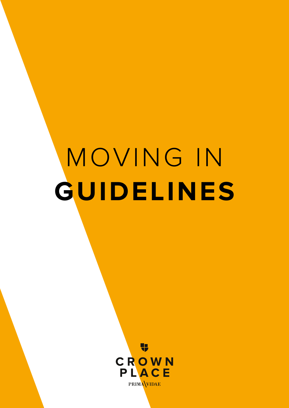## MOVING IN **GUIDELINES**

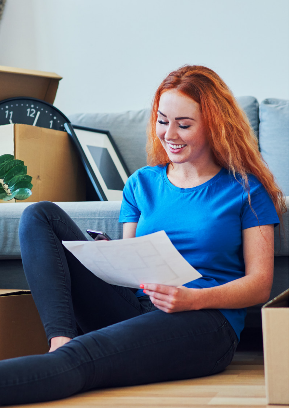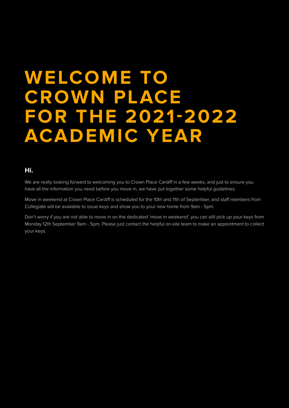## **WELCOME TO CROWN PLACE FOR THE 2021-2022 ACADEMIC YEAR**

#### **Hi.**

We are really looking forward to welcoming you to Crown Place Cardiff in a few weeks, and just to ensure you have all the information you need before you move in, we have put together some helpful guidelines.

Move in weekend at Crown Place Cardiff is scheduled for the 10th and 11th of September, and staff members from Collegiate will be available to issue keys and show you to your new home from 9am - 5pm.

Don't worry if you are not able to move in on the dedicated 'move in weekend', you can still pick up your keys from Monday 12th September 9am - 5pm. Please just contact the helpful on-site team to make an appointment to collect your keys.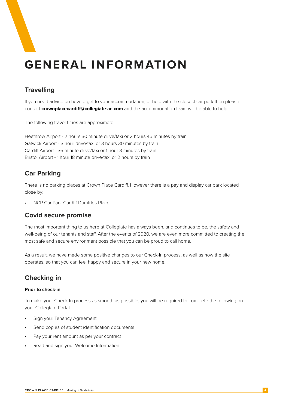## **GENERAL INFORMATION**

#### **Travelling**

If you need advice on how to get to your accommodation, or help with the closest car park then please contact **crownplacecardiff@collegiate-ac.com** and the accommodation team will be able to help.

The following travel times are approximate.

Heathrow Airport - 2 hours 30 minute drive/taxi or 2 hours 45 minutes by train Gatwick Airport - 3 hour drive/taxi or 3 hours 30 minutes by train Cardiff Airport - 36 minute drive/taxi or 1 hour 3 minutes by train Bristol Airport - 1 hour 18 minute drive/taxi or 2 hours by train

#### **Car Parking**

There is no parking places at Crown Place Cardiff. However there is a pay and display car park located close by:

• NCP Car Park Cardiff Dumfries Place

#### **Covid secure promise**

The most important thing to us here at Collegiate has always been, and continues to be, the safety and well-being of our tenants and staff. After the events of 2020, we are even more committed to creating the most safe and secure environment possible that you can be proud to call home.

As a result, we have made some positive changes to our Check-In process, as well as how the site operates, so that you can feel happy and secure in your new home.

#### **Checking in**

#### **Prior to check-in**

To make your Check-In process as smooth as possible, you will be required to complete the following on your Collegiate Portal:

- Sign your Tenancy Agreement
- Send copies of student identification documents
- Pay your rent amount as per your contract
- Read and sign your Welcome Information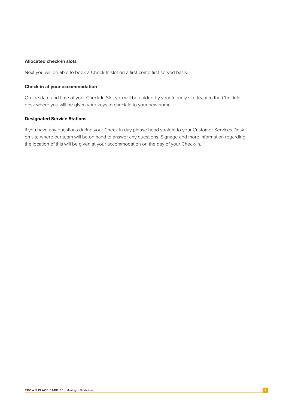#### **Allocated check-in slots**

Next you will be able to book a Check-In slot on a first-come first-served basis.

#### **Check-in at your accommodation**

On the date and time of your Check-In Slot you will be guided by your friendly site team to the Check-In desk where you will be given your keys to check in to your new home.

#### **Designated Service Stations**

If you have any questions during your Check-In day please head straight to your Customer Services Desk on site where our team will be on hand to answer any questions. Signage and more information regarding the location of this will be given at your accommodation on the day of your Check-In.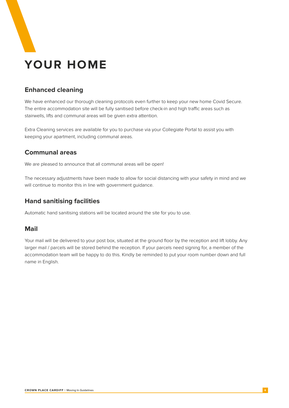# **YOUR HOME**

#### **Enhanced cleaning**

We have enhanced our thorough cleaning protocols even further to keep your new home Covid Secure. The entire accommodation site will be fully sanitised before check-in and high traffic areas such as stairwells, lifts and communal areas will be given extra attention.

Extra Cleaning services are available for you to purchase via your Collegiate Portal to assist you with keeping your apartment, including communal areas.

#### **Communal areas**

We are pleased to announce that all communal areas will be open!

The necessary adjustments have been made to allow for social distancing with your safety in mind and we will continue to monitor this in line with government guidance.

#### **Hand sanitising facilities**

Automatic hand sanitising stations will be located around the site for you to use.

#### **Mail**

Your mail will be delivered to your post box, situated at the ground floor by the reception and lift lobby. Any larger mail / parcels will be stored behind the reception. If your parcels need signing for, a member of the accommodation team will be happy to do this. Kindly be reminded to put your room number down and full name in English.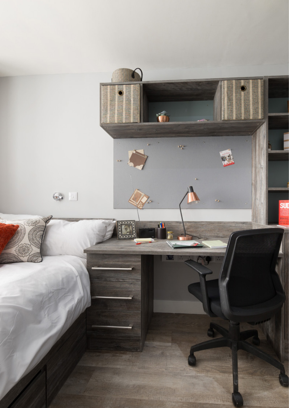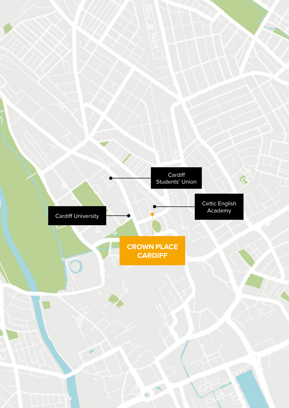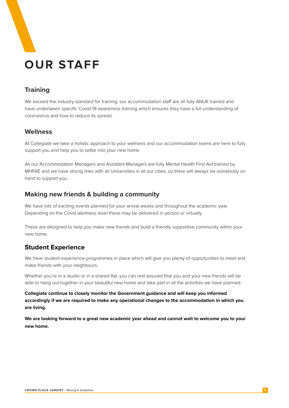

#### **Training**

We exceed the industry standard for training; our accommodation staff are all fully ANUK trained and have undertaken specific Covid-19 awareness training which ensures they have a full understanding of coronavirus and how to reduce its spread.

#### **Wellness**

At Collegiate we take a holistic approach to your wellness and our accommodation teams are here to fully support you and help you to settle into your new home.

All our Accommodation Managers and Assistant Managers are fully Mental Health First Aid trained by MHFAE and we have strong links with all Universities in all our cities, so there will always be somebody on hand to support you.

#### **Making new friends & building a community**

We have lots of exciting events planned for your arrival weeks and throughout the academic year. Depending on the Covid alertness level these may be delivered in person or virtually.

These are designed to help you make new friends and build a friendly supportive community within your new home.

#### **Student Experience**

We have student experience programmes in place which will give you plenty of opportunities to meet and make friends with your neighbours.

Whether you're in a studio or in a shared flat, you can rest assured that you and your new friends will be able to hang out together in your beautiful new home and take part in all the activities we have planned.

**Collegiate continue to closely monitor the Government guidance and will keep you informed accordingly if we are required to make any operational changes to the accommodation in which you are living.** 

**We are looking forward to a great new academic year ahead and cannot wait to welcome you to your new home.**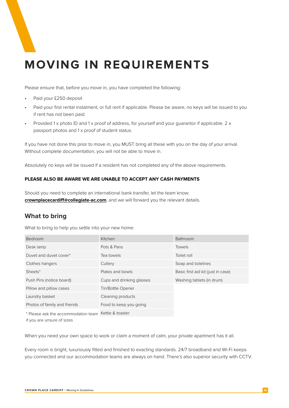## **MOVING IN REQUIREMENTS**

Please ensure that, before you move in, you have completed the following:

- Paid your £250 deposit
- Paid your first rental instalment, or full rent if applicable. Please be aware, no keys will be issued to you if rent has not been paid.
- Provided 1 x photo ID and 1 x proof of address, for yourself and your guarantor if applicable. 2 x passport photos and 1 x proof of student status.

If you have not done this prior to move in, you MUST bring all these with you on the day of your arrival. Without complete documentation, you will not be able to move in.

Absolutely no keys will be issued if a resident has not completed any of the above requirements.

#### **PLEASE ALSO BE AWARE WE ARE UNABLE TO ACCEPT ANY CASH PAYMENTS**

Should you need to complete an international bank transfer, let the team know; **crownplacecardiff@collegiate-ac.com**, and we will forward you the relevant details.

#### **What to bring**

| Bedroom                             | Kitchen                   | Bathroom                           |
|-------------------------------------|---------------------------|------------------------------------|
| Desk lamp                           | Pots & Pans               | <b>Towels</b>                      |
| Duvet and duvet cover*              | Tea towels                | Toilet roll                        |
| Clothes hangers                     | Cutlery                   | Soap and toiletries                |
| Sheets*                             | Plates and bowls          | Basic first aid kit (just in case) |
| Push Pins (notice board)            | Cups and drinking glasses | Washing tablets (in drum)          |
| Pillow and pillow cases             | Tin/Bottle Opener         |                                    |
| Laundry basket                      | Cleaning products         |                                    |
| Photos of family and friends        | Food to keep you going    |                                    |
| * Please ask the accommodation team | Kettle & toaster          |                                    |

What to bring to help you settle into your new home:

if you are unsure of sizes

When you need your own space to work or claim a moment of calm, your private apartment has it all.

Every room is bright, luxuriously fitted and finished to exacting standards. 24/7 broadband and Wi-Fi keeps you connected and our accommodation teams are always on hand. There's also superior security with CCTV.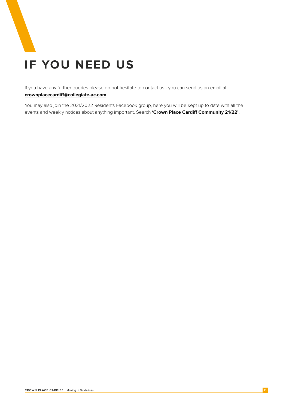

If you have any further queries please do not hesitate to contact us - you can send us an email at **crownplacecardiff@collegiate-ac.com**

You may also join the 2021/2022 Residents Facebook group, here you will be kept up to date with all the events and weekly notices about anything important. Search **'Crown Place Cardiff Community 21/22'**.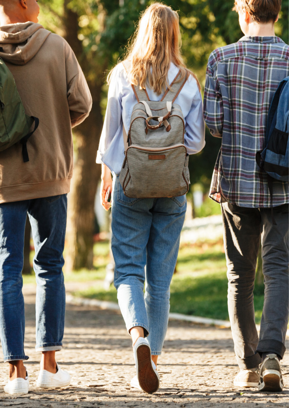